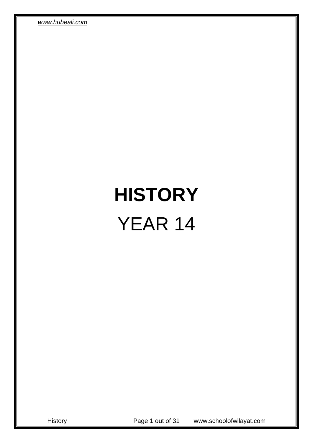# **HISTORY** YEAR 14

History Page 1 out of 31 www.schoolofwilayat.com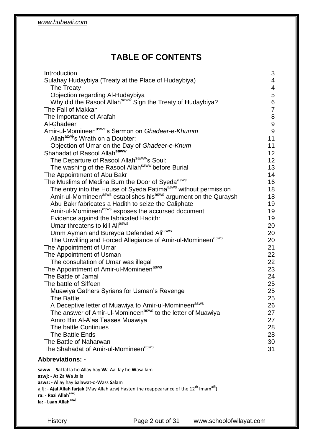# **TABLE OF CONTENTS**

| Introduction                                                                                                            | 3              |
|-------------------------------------------------------------------------------------------------------------------------|----------------|
| Sulahay Hudaybiya (Treaty at the Place of Hudaybiya)                                                                    | 4              |
| The Treaty                                                                                                              | 4              |
| Objection regarding Al-Hudaybiya                                                                                        | $\mathbf 5$    |
| Why did the Rasool Allah <sup>saww</sup> Sign the Treaty of Hudaybiya?                                                  | $\,6$          |
| The Fall of Makkah                                                                                                      | $\overline{7}$ |
| The Importance of Arafah                                                                                                | $\bf 8$        |
| Al-Ghadeer                                                                                                              | 9              |
| Amir-ul-Momineen <sup>asws</sup> 's Sermon on Ghadeer-e-Khumm                                                           | 9              |
| Allah <sup>azw</sup> 's Wrath on a Doubter:                                                                             | 11             |
| Objection of Umar on the Day of Ghadeer-e-Khum                                                                          | 11             |
| Shahadat of Rasool Allah <sup>saww</sup>                                                                                | 12             |
| The Departure of Rasool Allah <sup>saww</sup> 's Soul:                                                                  | 12             |
| The washing of the Rasool Allah <sup>saww</sup> before Burial                                                           | 13             |
| The Appointment of Abu Bakr                                                                                             | 14             |
| The Muslims of Medina Burn the Door of Syeda <sup>asws</sup>                                                            | 16             |
| The entry into the House of Syeda Fatima <sup>asws</sup> without permission                                             | 18             |
| Amir-ul-Momineen <sup>asws</sup> establishes his <sup>asws</sup> argument on the Quraysh                                | 18             |
| Abu Bakr fabricates a Hadith to seize the Caliphate                                                                     | 19             |
| Amir-ul-Momineen <sup>asws</sup> exposes the accursed document                                                          | 19             |
| Evidence against the fabricated Hadith:                                                                                 | 19             |
| Umar threatens to kill Aliasws                                                                                          | 20             |
| Umm Ayman and Bureyda Defended Ali <sup>asws</sup>                                                                      | 20             |
| The Unwilling and Forced Allegiance of Amir-ul-Momineen <sup>asws</sup>                                                 | 20             |
| The Appointment of Umar                                                                                                 | 21             |
| The Appointment of Usman                                                                                                | 22<br>22       |
| The consultation of Umar was illegal                                                                                    | 23             |
| The Appointment of Amir-ul-Momineen <sup>asws</sup><br>The Battle of Jamal                                              | 24             |
| The battle of Siffeen                                                                                                   | 25             |
| Muawiya Gathers Syrians for Usman's Revenge                                                                             | 25             |
| <b>The Battle</b>                                                                                                       | 25             |
| A Deceptive letter of Muawiya to Amir-ul-Momineen <sup>asws</sup>                                                       | 26             |
| The answer of Amir-ul-Momineen <sup>asws</sup> to the letter of Muawiya                                                 | 27             |
| Amro Bin Al-A'as Teases Muawiya                                                                                         | 27             |
| The battle Continues                                                                                                    | 28             |
| The Battle Ends                                                                                                         | 28             |
| The Battle of Naharwan                                                                                                  | 30             |
| The Shahadat of Amir-ul-Momineen <sup>asws</sup>                                                                        | 31             |
| <b>Abbreviations: -</b>                                                                                                 |                |
|                                                                                                                         |                |
| saww: - Sal lal la ho Allay hay Wa Aal lay he Wasallam<br>azwj: - Az Za Wa Jalla                                        |                |
| asws: - Allay hay Salawat-o-Wass Salam                                                                                  |                |
| ajfj: - <b>Ajal Allah farjak</b> (May Allah azwj Hasten the reappearance of the 12 <sup>th</sup> Imam <sup>ajfj</sup> ) |                |
| ra: - Razi Allah <sup>azwj</sup>                                                                                        |                |
| la: - Laan Allah <sup>azwj</sup>                                                                                        |                |
|                                                                                                                         |                |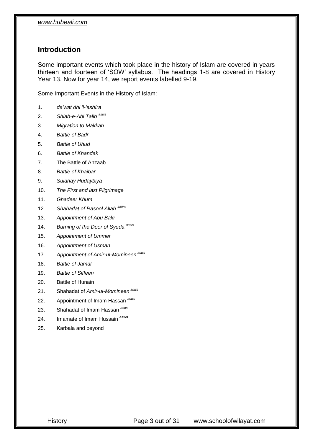#### <span id="page-2-0"></span>**Introduction**

Some important events which took place in the history of Islam are covered in years thirteen and fourteen of 'SOW' syllabus. The headings 1-8 are covered in History Year 13. Now for year 14, we report events labelled 9-19.

Some Important Events in the History of Islam:

- 1. *da'wat dhi 'l-'ashíra*
- 2. *Shiab-e-Abi Talib asws*
- 3. *Migration to Makkah*
- 4. *Battle of Badr*
- 5. *Battle of Uhud*
- 6. *Battle of Khandak*
- 7. The Battle of Ahzaab
- 8. *Battle of Khaibar*
- 9. *Sulahay Hudaybiya*
- 10. *The First and last Pilgrimage*
- 11. *Ghadeer Khum*
- 12. *Shahadat of Rasool Allah saww*
- 13. *Appointment of Abu Bakr*
- 14. *Burning of the Door of Syeda asws*
- 15. *Appointment of Ummer*
- 16. *Appointment of Usman*
- 17. *Appointment of Amir-ul-Momineen asws*
- 18. *Battle of Jamal*
- 19. *Battle of Siffeen*
- 20. Battle of Hunain
- 21. Shahadat of *Amir-ul-Momineen asws*
- 22. Appointment of Imam Hassan *asws*
- 23. Shahadat of Imam Hassan *asws*
- 24. Imamate of Imam Hussain *asws*
- 25. Karbala and beyond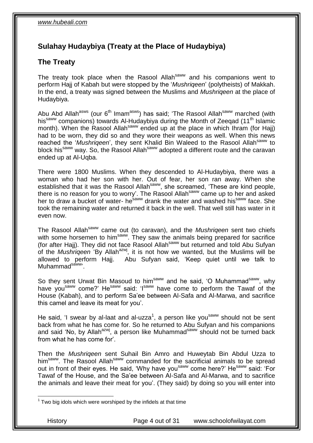## <span id="page-3-0"></span>**Sulahay Hudaybiya (Treaty at the Place of Hudaybiya)**

## <span id="page-3-1"></span>**The Treaty**

The treaty took place when the Rasool Allah<sup>saww</sup> and his companions went to perform Hajj of Kabah but were stopped by the '*Mushriqeen*' (polytheists) of Makkah. In the end, a treaty was signed between the Muslims and *Mushriqeen* at the place of Hudaybiya.

Abu Abd Allah<sup>asws</sup> (our 6<sup>th</sup> Imam<sup>asws</sup>) has said; 'The Rasool Allah<sup>saww</sup> marched (with his<sup>saww</sup> companions) towards Al-Hudaybiya during the Month of Zeeqad (11<sup>th</sup> Islamic month). When the Rasool Allah<sup>saww</sup> ended up at the place in which Ihram (for Hajj) had to be worn, they did so and they wore their weapons as well. When this news reached the 'Mushrigeen', they sent Khalid Bin Waleed to the Rasool Allah<sup>saww</sup> to block his<sup>saww</sup> way. So, the Rasool Allah<sup>saww</sup> adopted a different route and the caravan ended up at Al-Uqba.

There were 1800 Muslims. When they descended to Al-Hudaybiya, there was a woman who had her son with her. Out of fear, her son ran away. When she established that it was the Rasool Allah<sup>saww</sup>, she screamed, 'These are kind people, there is no reason for you to worry'. The Rasool Allah<sup>saww</sup> came up to her and asked her to draw a bucket of water- he<sup>saww</sup> drank the water and washed his<sup>saww</sup> face. She took the remaining water and returned it back in the well. That well still has water in it even now.

The Rasool Allahsaww came out (to caravan), and the *Mushriqeen* sent two chiefs with some horsemen to him<sup>saww</sup>. They saw the animals being prepared for sacrifice (for after Hajj). They did not face Rasool Allah<sup>saww</sup> but returned and told Abu Sufyan of the *Mushriqeen* 'By Allah<sup>azwj</sup>, it is not how we wanted, but the Muslims will be allowed to perform Hajj. Abu Sufyan said, 'Keep quiet until we talk to Muhammad<sup>saww</sup>'.

So they sent Urwat Bin Masoud to him<sup>saww</sup> and he said, 'O Muhammad<sup>saww</sup>, why have you<sup>saww</sup> come?' He<sup>saww</sup> said: 'I<sup>saww</sup> have come to perform the Tawaf of the House (Kabah), and to perform Sa'ee between Al-Safa and Al-Marwa, and sacrifice this camel and leave its meat for you'.

He said, 'I swear by al-laat and al-uzza<sup>1</sup>, a person like you<sup>saww</sup> should not be sent back from what he has come for. So he returned to Abu Sufyan and his companions and said 'No, by Allah<sup>azwj</sup>, a person like Muhammad<sup>saww</sup> should not be turned back from what he has come for'.

Then the *Mushriqeen* sent Suhail Bin Amro and Huweytab Bin Abdul Uzza to him<sup>saww</sup>. The Rasool Allah<sup>saww</sup> commanded for the sacrificial animals to be spread out in front of their eyes. He said, 'Why have you<sup>saww</sup> come here?' He<sup>saww</sup> said: 'For Tawaf of the House, and the Sa'ee between Al-Safa and Al-Marwa, and to sacrifice the animals and leave their meat for you'. (They said) by doing so you will enter into

1

History Page 4 out of 31 www.schoolofwilayat.com

 $1$  Two big idols which were worshiped by the infidels at that time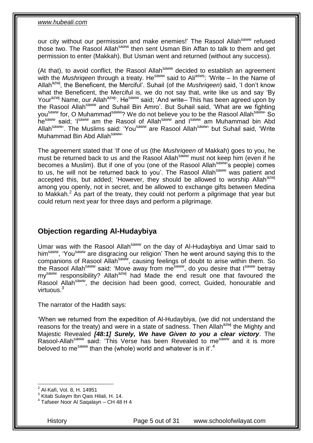our city without our permission and make enemies!' The Rasool Allah<sup>saww</sup> refused those two. The Rasool Allah<sup>saww</sup> then sent Usman Bin Affan to talk to them and get permission to enter (Makkah). But Usman went and returned (without any success).

(At that), to avoid conflict, the Rasool Allah<sup>saww</sup> decided to establish an agreement with the *Mushrigeen* through a treaty. He<sup>saww</sup> said to Ali<sup>asws</sup>: 'Write – In the Name of Allah<sup>azwj</sup>, the Beneficent, the Merciful'. Suhail (of the *Mushrigeen*) said, 'I don't know what the Beneficent, the Merciful is, we do not say that, write like us and say 'By Your<sup>azwj</sup> Name, our Allah<sup>azwj</sup>'. He<sup>saww</sup> said; 'And write– This has been agreed upon by the Rasool Allah<sup>saww</sup> and Suhail Bin Amro'. But Suhail said, 'What are we fighting you<sup>saww</sup> for, O Muhammad<sup>saww</sup>? We do not believe you to be the Rasool Allah<sup>saww</sup>' So hesaww said; 'Isaww am the Rasool of Allahsaww and Isaww am Muhammad bin Abd Allah<sup>saww</sup>'. The Muslims said: 'You<sup>saww</sup> are Rasool Allah<sup>saww</sup>' but Suhail said, 'Write Muhammad Bin Abd Allah<sup>saww,</sup>

The agreement stated that 'If one of us (the *Mushriqeen* of Makkah) goes to you, he must be returned back to us and the Rasool Allah<sup>saww</sup> must not keep him (even if he becomes a Muslim). But if one of you (one of the Rasool Allah<sup>saww</sup>'s people) comes to us, he will not be returned back to you'. The Rasool Allah<sup>saww</sup> was patient and accepted this, but added; 'However, they should be allowed to worship Allah<sup>azwj</sup> among you openly, not in secret, and be allowed to exchange gifts between Medina to Makkah.<sup>2</sup> As part of the treaty, they could not perform a pilgrimage that year but could return next year for three days and perform a pilgrimage.

#### <span id="page-4-0"></span>**Objection regarding Al-Hudaybiya**

Umar was with the Rasool Allah<sup>saww</sup> on the day of Al-Hudaybiya and Umar said to him<sup>saww</sup>, 'You<sup>saww</sup> are disgracing our religion' Then he went around saying this to the companions of Rasool Allah<sup>saww</sup>, causing feelings of doubt to arise within them. So the Rasool Allah<sup>saww</sup> said: 'Move away from me<sup>saww</sup>, do you desire that Isaww betray  $my<sup>saww</sup>$  responsibility? Allah<sup>azwj</sup> had Made the end result one that favoured the Rasool Allah<sup>saww</sup>, the decision had been good, correct, Guided, honourable and virtuous.<sup>3</sup>

The narrator of the Hadith says:

'When we returned from the expedition of Al-Hudaybiya, (we did not understand the reasons for the treaty) and were in a state of sadness. Then Allah<sup>azwj</sup> the Mighty and Majestic Revealed *[48:1] Surely, We have Given to you a clear victory*. The Rasool-Allah<sup>saww</sup> said: 'This Verse has been Revealed to me<sup>saww</sup> and it is more beloved to me<sup>saww</sup> than the (whole) world and whatever is in it.<sup>4</sup>

History Page 5 out of 31 www.schoolofwilayat.com

<sup>1</sup> <sup>2</sup> Al-Kafi, Vol. 8, H. 14951

<sup>&</sup>lt;sup>3</sup> Kitab Sulaym Ibn Qais Hilali, H. 14.

<sup>4</sup> Tafseer Noor Al Saqalayn – CH 48 H 4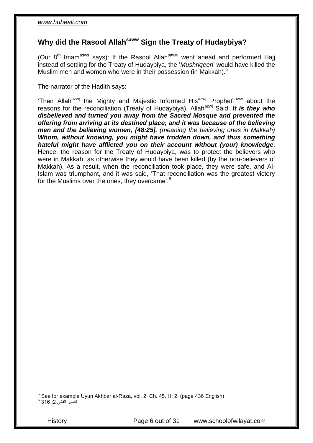## <span id="page-5-0"></span>**Why did the Rasool Allahsaww Sign the Treaty of Hudaybiya?**

(Our  $8<sup>th</sup>$  Imam<sup>asws</sup> says): If the Rasool Allah<sup>saww</sup> went ahead and performed Hajj instead of settling for the Treaty of Hudaybiya, the '*Mushriqeen*' would have killed the Muslim men and women who were in their possession (in Makkah). 5

The narrator of the Hadith says:

'Then Allah<sup>azwj</sup> the Mighty and Majestic Informed His<sup>azwj</sup> Prophet<sup>saww</sup> about the reasons for the reconciliation (Treaty of Hudaybiya), Allah<sup>azwj</sup> Said: *It is they who disbelieved and turned you away from the Sacred Mosque and prevented the offering from arriving at its destined place; and it was because of the believing men and the believing women, [48:25]. (meaning the believing ones in Makkah) Whom, without knowing, you might have trodden down, and thus something hateful might have afflicted you on their account without (your) knowledge*. Hence, the reason for the Treaty of Hudaybiya, was to protect the believers who were in Makkah, as otherwise they would have been killed (by the non-believers of Makkah). As a result, when the reconciliation took place, they were safe, and Al-Islam was triumphant, and it was said, 'That reconciliation was the greatest victory for the Muslims over the ones, they overcame'.<sup>6</sup>

5 See for example Uyun Akhbar al-Raza, vol. 2, Ch. 45, H. 2. (page 436 English)

تفسير الق*مّي* 2: 316 <sup>6</sup>

History Page 6 out of 31 www.schoolofwilayat.com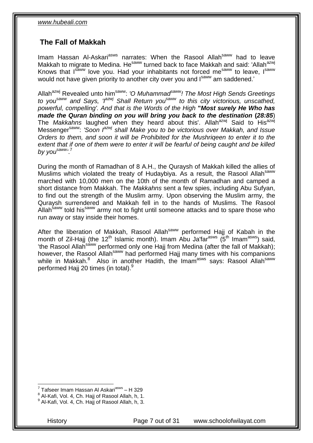## <span id="page-6-0"></span>**The Fall of Makkah**

Imam Hassan Al-Askari<sup>asws</sup> narrates: When the Rasool Allah<sup>saww</sup> had to leave Makkah to migrate to Medina. He<sup>saww</sup> turned back to face Makkah and said: 'Allah<sup>azwj</sup> Knows that I<sup>saww</sup> love you. Had your inhabitants not forced me<sup>saww</sup> to leave, Isaww would not have given priority to another city over you and  $I<sup>saww</sup>$  am saddened.'

Allah<sup>azwj</sup> Revealed unto him<sup>saww</sup>: *'O Muhammad<sup>saww</sup>! The Most High Sends Greetings to yousaww and Says, 'Iazwj Shall Return yousaww to this city victorious, unscathed, powerful, compelling'. And that is the Words of the High* **"***Most surely He Who has made the Quran binding on you will bring you back to the destination* **(***28:85*) The *Makkahns* laughed when they heard about this'. Allah<sup>azwj</sup> Said to His<sup>azwj</sup> Messenger<sup>saww</sup>: *'Soon l<sup>azwj</sup> shall Make you to be victorious over Makkah, and Issue Orders to them, and soon it will be Prohibited for the Mushriqeen to enter it to the extent that if one of them were to enter it will be fearful of being caught and be killed by yousaww '*. 7

During the month of Ramadhan of 8 A.H., the Quraysh of Makkah killed the allies of Muslims which violated the treaty of Hudaybiya. As a result, the Rasool Allah<sup>saww</sup> marched with 10,000 men on the 10th of the month of Ramadhan and camped a short distance from Makkah. The *Makkahns* sent a few spies, including Abu Sufyan, to find out the strength of the Muslim army. Upon observing the Muslim army, the Quraysh surrendered and Makkah fell in to the hands of Muslims. The Rasool Allah<sup>saww</sup> told his<sup>saww</sup> army not to fight until someone attacks and to spare those who run away or stay inside their homes.

After the liberation of Makkah, Rasool Allah<sup>saww</sup> performed Hajj of Kabah in the month of Zil-Hajj (the 12<sup>th</sup> Islamic month). Imam Abu Ja'far<sup>asws</sup> (5<sup>th</sup> Imam<sup>asws</sup>) said, 'the Rasool Allan<sup>saww</sup> performed only one Hajj from Medina (after the fall of Makkah); however, the Rasool Allah<sup>saww</sup> had performed Hajj many times with his companions while in Makkah.<sup>8</sup> Also in another Hadith, the Imam<sup>asws</sup> says: Rasool Allah<sup>saww</sup> performed Hajj 20 times (in total).<sup>9</sup>

1

<sup>&</sup>lt;sup>7</sup> Tafseer Imam Hassan Al Askari<sup>asws</sup> – H 329

<sup>&</sup>lt;sup>8</sup> Al-Kafi, Vol. 4, Ch. Hajj of Rasool Allah, h, 1.

<sup>&</sup>lt;sup>9</sup> Al-Kafi, Vol. 4, Ch. Hajj of Rasool Allah, h, 3.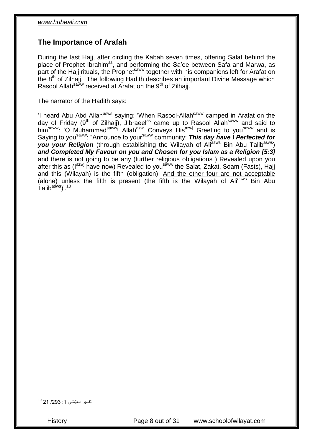#### <span id="page-7-0"></span>**The Importance of Arafah**

During the last Hajj, after circling the Kabah seven times, offering Salat behind the place of Prophet Ibrahim<sup>as</sup>, and performing the Sa'ee between Safa and Marwa, as prace of the Hajj rituals, the Prophet<sup>saww</sup> together with his companions left for Arafat on the  $8<sup>th</sup>$  of Zilhajj. The following Hadith describes an important Divine Message which Rasool Allah<sup>saww</sup> received at Arafat on the 9<sup>th</sup> of Zilhajj.

The narrator of the Hadith says:

'I heard Abu Abd Allah<sup>asws</sup> saying: 'When Rasool-Allah<sup>saww</sup> camped in Arafat on the day of Friday (9<sup>th</sup> of Zilhajj), Jibraeel<sup>as</sup> came up to Rasool Allah<sup>saww</sup> and said to him<sup>saww</sup>: 'O Muhammad<sup>saww</sup>! Allah<sup>azwj</sup> Conveys His<sup>azwj</sup> Greeting to you<sup>saww</sup> and is Saying to you<sup>saww</sup>: "Announce to your<sup>saww</sup> community: **This day have I Perfected for** *you your Religion* (through establishing the Wilayah of Ali<sup>asws</sup> Bin Abu Talib<sup>asws</sup>) *and Completed My Favour on you and Chosen for you Islam as a Religion [5:3]*  and there is not going to be any (further religious obligations ) Revealed upon you after this as (I<sup>azwj</sup> have now) Revealed to you<sup>saww</sup> the Salat, Zakat, Soam (Fasts), Hajj and this (Wilayah) is the fifth (obligation). And the other four are not acceptable (alone) unless the fifth is present (the fifth is the Wilayah of Ali<sup>asws</sup> Bin Abu Talib<sup>asws</sup>)'.<sup>10</sup>

تفسير العيّاشي 1: 293/ 21 <sup>10</sup>

1

History Page 8 out of 31 www.schoolofwilayat.com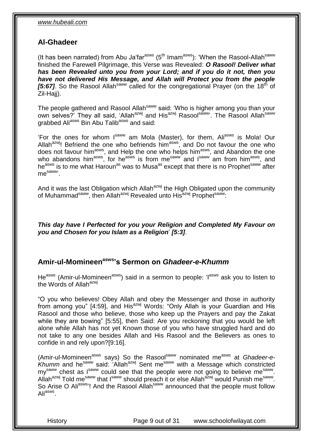#### <span id="page-8-0"></span>**Al-Ghadeer**

(It has been narrated) from Abu Ja'far<sup>asws</sup> (5<sup>th</sup> Imam<sup>asws</sup>): 'When the Rasool-Allah<sup>saww</sup> finished the Farewell Pilgrimage, this Verse was Revealed: *O Rasool! Deliver what has been Revealed unto you from your Lord; and if you do it not, then you have not delivered His Message, and Allah will Protect you from the people FIGURE 12 ISLACE THE MILLICE STRAIGHT OF THE FIGURE 15:67].* So the Rasool Allah<sup>saww</sup> called for the congregational Prayer (on the 18<sup>th</sup> of Zil-Hajj).

The people gathered and Rasool Allah<sup>saww</sup> said: 'Who is higher among you than your own selves?' They all said, 'Allah<sup>azwj</sup> and His<sup>azwj</sup> Rasool<sup>saww</sup>'. The Rasool Allah<sup>saww</sup> grabbed Ali<sup>asws</sup> Bin Abu Talib<sup>asws</sup> and said:

'For the ones for whom I<sup>saww</sup> am Mola (Master), for them, Ali<sup>asws</sup> is Mola! Our Allah<sup>azwj</sup>! Befriend the one who befriends him<sup>asws</sup>, and Do not favour the one who does not favour him<sup>asws</sup>, and Help the one who helps him<sup>asws</sup>, and Abandon the one who abandons him<sup>asws</sup>, for he<sup>asws</sup> is from me<sup>saww</sup> and I<sup>saww</sup> am from him<sup>asws</sup>, and he<sup>asws</sup> is to me what Haroun<sup>as</sup> was to Musa<sup>as</sup> except that there is no Prophet<sup>saww</sup> after mesaww'.

And it was the last Obligation which Allah<sup>azwj</sup> the High Obligated upon the community of Muhammad<sup>saww</sup>, then Allah<sup>azwj</sup> Revealed unto His<sup>azwj</sup> Prophetsaww:

*This day have I Perfected for you your Religion and Completed My Favour on you and Chosen for you Islam as a Religion*' *[5:3]*.

#### <span id="page-8-1"></span>**Amir-ul-Momineenasws's Sermon on** *Ghadeer-e-Khumm*

He<sup>asws</sup> (Amir-ul-Momineen<sup>asws</sup>) said in a sermon to people: 'l<sup>asws</sup> ask you to listen to the Words of Allah<sup>azwj</sup>

"O you who believes! Obey Allah and obey the Messenger and those in authority from among you" [4:59], and  $His^{azwj}$  Words: "Only Allah is your Guardian and His Rasool and those who believe, those who keep up the Prayers and pay the Zakat while they are bowing" [5:55], then Said: Are you reckoning that you would be left alone while Allah has not yet Known those of you who have struggled hard and do not take to any one besides Allah and His Rasool and the Believers as ones to confide in and rely upon?[9:16].

(Amir-ul-Momineen<sup>asws</sup> says) So the Rasool<sup>saww</sup> nominated me<sup>asws</sup> at *Ghadeer-e-Khumm* and hesaww said: 'Allahazwj Sent mesaww with a Message which constricted my<sup>saww</sup> chest as l<sup>saww</sup> could see that the people were not going to believe me<sup>saww</sup>. Allah<sup>azwj</sup> Told me<sup>saww</sup> that I<sup>saww</sup> should preach it or else Allah<sup>azwj</sup> would Punish me<sup>saww</sup>. So Arise O Ali<sup>asws</sup>! And the Rasool Allah<sup>saww</sup> announced that the people must follow Ali<sup>asws</sup>.

History Page 9 out of 31 www.schoolofwilayat.com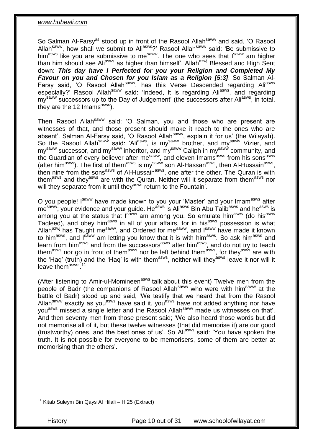So Salman Al-Farsy<sup>as</sup> stood up in front of the Rasool Allah<sup>saww</sup> and said, 'O Rasool Allah<sup>saww</sup>, how shall we submit to Ali<sup>asws</sup>?' Rasool Allah<sup>saww</sup> said: 'Be submissive to him<sup>asws</sup> like you are submissive to me<sup>saww</sup>. The one who sees that I<sup>saww</sup> am higher than him should see Ali<sup>asws</sup> as higher than himself'. Allah<sup>azwj</sup> Blessed and High Sent down: *This day have I Perfected for you your Religion and Completed My Favour on you and Chosen for you Islam as a Religion [5:3]*. So Salman Al-Farsy said, 'O Rasool Allahsaww, has this Verse Descended regarding Aliasws especially?' Rasool Allahsaww said: 'Indeed, it is regarding Aliasws, and regarding my<sup>saww</sup> successors up to the Day of Judgement' (the successors after Ali<sup>asws</sup>, in total, they are the 12 Imams $^{asws}$ ).

Then Rasool Allah<sup>saww</sup> said: 'O Salman, you and those who are present are witnesses of that, and those present should make it reach to the ones who are absent'. Salman Al-Farsy said, 'O Rasool Allah<sup>saww</sup>, explain it for us' (the Wilayah). So the Rasool Allah<sup>saww</sup> said: 'Ali<sup>asws</sup>, is my<sup>saww</sup> brother, and my<sup>saww</sup> Vizier, and my<sup>saww</sup> successor, and my<sup>saww</sup> inheritor, and my<sup>saww</sup> Caliph in my<sup>saww</sup> community, and the Guardian of every believer after me<sup>saww</sup>, and eleven Imams<sup>asws</sup> from his sons<sup>asws</sup> (after him<sup>asws</sup>). The first of them<sup>asws</sup> is my<sup>saww</sup> son Al-Hassan<sup>asws</sup>, then Al-Hussain<sup>asws</sup>, then nine from the sons<sup>asws</sup> of Al-Hussain<sup>asws</sup>, one after the other. The Quran is with them<sup>asws</sup> and they<sup>asws</sup> are with the Quran. Neither will it separate from them<sup>asws</sup> nor will they separate from it until they<sup>asws</sup> return to the Fountain'.

O you people! Isaww have made known to you your 'Master' and your Imam<sup>asws</sup> after mesaww; your evidence and your guide. He<sup>asws</sup> is Ali<sup>asws</sup> Bin Abu Talib<sup>asws</sup> and he<sup>asws</sup> is among you at the status that  $I<sup>saww</sup>$  am among you. So emulate him<sup>asws</sup> (do his<sup>asws</sup> Taqleed), and obey him<sup>asws</sup> in all of your affairs, for in his<sup>asws</sup> possession is what Allah<sup>azwj</sup> has Taught me<sup>saww</sup>, and Ordered for me<sup>saww</sup>, and I<sup>saww</sup> have made it known to him<sup>asws</sup>, and I<sup>saww</sup> am letting you know that it is with him<sup>asws</sup>. So ask him<sup>asws</sup> and learn from him<sup>asws</sup> and from the successors<sup>asws</sup> after him<sup>asws</sup>, and do not try to teach them<sup>asws</sup> nor go in front of them<sup>asws</sup> nor be left behind them<sup>asws</sup>, for they<sup>asws</sup> are with the 'Haq' (truth) and the 'Haq' is with them<sup>asws</sup>, neither will they<sup>asws</sup> leave it nor will it leave them<sup>asws, 11</sup>

(After listening to Amir-ul-Momineen<sup>asws</sup> talk about this event) Twelve men from the people of Badr (the companions of Rasool Allah<sup>saww</sup> who were with him<sup>saww</sup> at the battle of Badr) stood up and said, 'We testify that we heard that from the Rasool Allah<sup>saww</sup> exactly as you<sup>asws</sup> have said it, you<sup>asws</sup> have not added anything nor have you<sup>asws</sup> missed a single letter and the Rasool Allah<sup>saww</sup> made us witnesses on that'. And then seventy men from those present said; 'We also heard those words but did not memorise all of it, but these twelve witnesses (that did memorise it) are our good (trustworthy) ones, and the best ones of us'. So Aliasws said: 'You have spoken the truth. It is not possible for everyone to be memorisers, some of them are better at memorising than the others'.

History Page 10 out of 31 www.schoolofwilayat.com

<sup>1</sup>  $11$  Kitab Suleym Bin Qays Al Hilali - H 25 (Extract)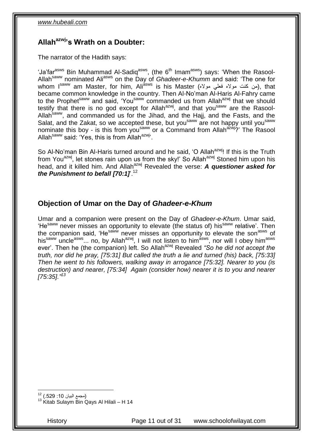## <span id="page-10-0"></span>**Allahazwj's Wrath on a Doubter:**

The narrator of the Hadith says:

'Ja'far<sup>asws</sup> Bin Muhammad Al-Sadiq<sup>asws</sup>, (the 6<sup>th</sup> Imam<sup>asws</sup>) says: 'When the Rasool-Allahsaww nominated Aliasws on the Day of *Ghadeer-e-Khumm* and said: 'The one for whom I<sup>saww</sup> am Master, for him, Ali<sup>asws</sup> is his Master (من كنت مولاه فعلي مولاه), that became common knowledge in the country. Then Al-No'man Al-Haris Al-Fahry came to the Prophet<sup>saww</sup> and said, 'You<sup>saww</sup> commanded us from Allah<sup>azwj</sup> that we should testify that there is no god except for Allah<sup>azwj</sup>, and that you<sup>saww</sup> are the Rasool-Allah<sup>saww</sup>, and commanded us for the Jihad, and the Hajj, and the Fasts, and the Salat, and the Zakat, so we accepted these, but you<sup>saww</sup> are not happy until you<sup>saww</sup> nominate this boy - is this from you<sup>saww</sup> or a Command from Allah<sup>azwj</sup>?' The Rasool Allah<sup>saww</sup> said: 'Yes, this is from Allah<sup>azwj</sup>'.

So Al-No'man Bin Al-Haris turned around and he said, 'O Allah<sup>azwj</sup>! If this is the Truth from You<sup>azwj</sup>, let stones rain upon us from the sky!' So Allah<sup>azwj</sup> Stoned him upon his head, and it killed him. And Allah<sup>azwj</sup> Revealed the verse: **A questioner asked for** *the Punishment to befall [70:1]*<sup>12</sup>

#### <span id="page-10-1"></span>**Objection of Umar on the Day of** *Ghadeer-e-Khum*

Umar and a companion were present on the Day of *Ghadeer-e-Khum*. Umar said, 'He<sup>saww</sup> never misses an opportunity to elevate (the status of) his<sup>saww</sup> relative'. Then the companion said, 'He<sup>saww</sup> never misses an opportunity to elevate the son<sup>asws</sup> of his<sup>saww</sup> uncle<sup>asws</sup>... no, by Allah<sup>azwj</sup>, I will not listen to him<sup>ásws</sup>, nor will I obey him<sup>asws</sup> ever'. Then he (the companion) left. So Allah<sup>azwj</sup> Revealed "So he did not accept the *truth, nor did he pray, [75:31] But called the truth a lie and turned (his) back, [75:33] Then he went to his followers, walking away in arrogance [75:32]. Nearer to you (is destruction) and nearer, [75:34] Again (consider how) nearer it is to you and nearer [75:35]."<sup>13</sup>*

1

<sup>(</sup>مجمع البيان 10: 529.) <sup>12</sup>

 $13$  Kitab Sulaym Bin Qays Al Hilali – H 14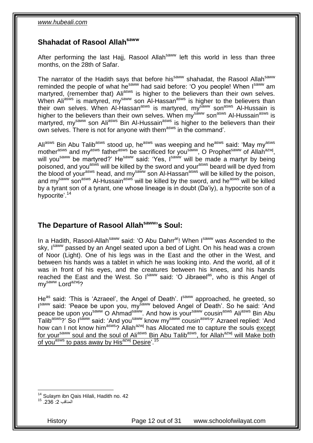#### <span id="page-11-0"></span>**Shahadat of Rasool Allahsaww**

After performing the last Hajj, Rasool Allah<sup>saww</sup> left this world in less than three months, on the 28th of Safar.

The narrator of the Hadith says that before his<sup>saww</sup> shahadat, the Rasool Allah<sup>saww</sup> reminded the people of what he<sup>saww</sup> had said before: 'O you people! When I<sup>saww</sup> am martyred, (remember that) Ali<sup>asws</sup> is higher to the believers than their own selves. When Aliasivs is martyred, my<sup>saww</sup> son Al-Hassan<sup>asws</sup> is higher to the believers than their own selves. When Al-Hassan<sup>asws</sup> is martyred, my<sup>saww</sup> son<sup>asws</sup> Al-Hussain is higher to the believers than their own selves. When my<sup>saww</sup> son<sup>asws</sup> Al-Hussain<sup>asws</sup> is martyred, my<sup>saww</sup> son Ali<sup>asws</sup> Bin Al-Hussain<sup>asws</sup> is higher to the believers than their own selves. There is not for anyone with them<sup>asws</sup> in the command'.

Aliasws Bin Abu Talib<sup>asws</sup> stood up, he<sup>asws</sup> was weeping and he<sup>asws</sup> said: 'May my<sup>asws</sup> mother<sup>asws</sup> and my<sup>asws</sup> father<sup>asws</sup> be sacrificed for you<sup>saww</sup>, O Prophet<sup>saww</sup> of Allah<sup>azwj</sup>, will you<sup>saww</sup> be martyred?' He<sup>saww</sup> said: 'Yes, Isaww will be made a martyr by being poisoned, and you<sup>asws</sup> will be killed by the sword and your<sup>asws</sup> beard will be dyed from the blood of your<sup>asws</sup> head, and my<sup>saww</sup> son Al-Hassan<sup>asws</sup> will be killed by the poison, and my<sup>saww</sup> son<sup>asws</sup> Al-Hussain<sup>asws</sup> will be killed by the sword, and he<sup>asws'</sup> will be killed by a tyrant son of a tyrant, one whose lineage is in doubt (Da'iy), a hypocrite son of a hypocrite'.<sup>14</sup>

## <span id="page-11-1"></span>**The Departure of Rasool Allahsaww's Soul:**

In a Hadith, Rasool-Allah<sup>saww</sup> said: 'O Abu Dahrr<sup>ar</sup>! When Isaww was Ascended to the sky. Isaww passed by an Angel seated upon a bed of Light. On his head was a crown of Noor (Light). One of his legs was in the East and the other in the West, and between his hands was a tablet in which he was looking into. And the world, all of it was in front of his eyes, and the creatures between his knees, and his hands reached the East and the West. So Isaww said: 'O Jibraeel<sup>as</sup>, who is this Angel of my<sup>saww</sup> Lord<sup>azwj</sup>?

He<sup>as</sup> said: 'This is 'Azraeel', the Angel of Death'. Isaww approached, he greeted, so Isaww said: 'Peace be upon you, mysaww beloved Angel of Death'. So he said: 'And peace be upon you<sup>saww</sup> O Ahmad<sup>saww</sup>. And how is your<sup>saww</sup> cousin<sup>asws</sup> Ali<sup>asws</sup> Bin Abu Talib<sup>asws</sup>?' So I<sup>saww</sup> said: 'And you<sup>saww</sup> know my<sup>saww'</sup> cousin<sup>asws</sup>?' Azraeel replied: 'And how can I not know him<sup>asws</sup>? Allah<sup>azwj</sup> has Allocated me to capture the souls except for your<sup>saww</sup> soul and the soul of Ali<sup>asws</sup> Bin Abu Talib<sup>asws</sup>, for Allah<sup>azwj</sup> will Make both of you<sup>asws</sup> to pass away by His<sup>azwj</sup> Desire'.<sup>15</sup>

1

<sup>&</sup>lt;sup>14</sup> Sulaym ibn Qais Hilali, Hadith no. 42<br><sup>15</sup> .236 :2 المناقب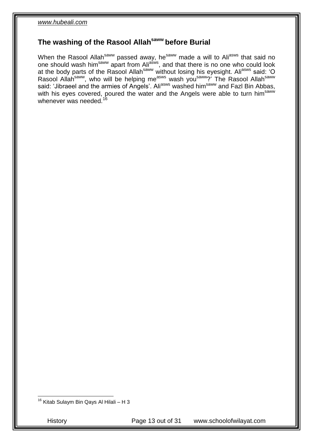## <span id="page-12-0"></span>**The washing of the Rasool Allahsaww before Burial**

When the Rasool Allah<sup>saww</sup> passed away, he<sup>saww</sup> made a will to Ali<sup>asws</sup> that said no one should wash him<sup>saww</sup> apart from Ali<sup>asws</sup>, and that there is no one who could look at the body parts of the Rasool Allah<sup>saww</sup> without losing his eyesight. Ali<sup>asws</sup> said: 'O Rasool Allah<sup>saww</sup>, who will be helping me<sup>asws</sup> wash you<sup>saww</sup>?<sup>'</sup> The Rasool Allah<sup>saww</sup> said: 'Jibraeel and the armies of Angels'. Ali<sup>asws</sup> washed him<sup>saww</sup> and Fazl Bin Abbas, with his eyes covered, poured the water and the Angels were able to turn him<sup>saww</sup> whenever was needed.<sup>16</sup>

 $16$  Kitab Sulaym Bin Qays Al Hilali – H 3

1

History Page 13 out of 31 www.schoolofwilayat.com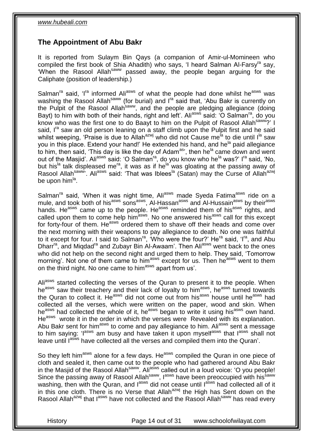## <span id="page-13-0"></span>**The Appointment of Abu Bakr**

It is reported from Sulaym Bin Qays (a companion of Amir-ul-Momineen who compiled the first book of Shia Ahadith) who says, 'I heard Salman Al-Farsy<sup>ra</sup> say, 'When the Rasool Allahsaww passed away, the people began arguing for the Caliphate (position of leadership.)

Salman<sup>ra</sup> said, 'I<sup>ra</sup> informed Ali<sup>asws</sup> of what the people had done whilst he<sup>asws</sup> was washing the Rasool Allah<sup>saww</sup> (for burial) and I<sup>ra</sup> said that, 'Abu Bakr is currently on the Pulpit of the Rasool Allah<sup>saww</sup>, and the people are pledging allegiance (doing Bayt) to him with both of their hands, right and left'. Ali<sup>asws</sup> said: 'O Salman<sup>ra</sup>, do you know who was the first one to do Baayt to him on the Pulpit of Rasool Allah<sup>saww</sup>?' I said, I<sup>ra</sup> saw an old person leaning on a staff climb upon the Pulpit first and he said whilst weeping, 'Praise is due to Allah<sup>azwj</sup> who did not Cause me<sup>la</sup> to die until I<sup>la</sup> saw you in this place. Extend your hand!' He extended his hand, and he<sup>la</sup> paid allegiance to him, then said, 'This day is like the day of Adam<sup>as</sup>', then he<sup>la</sup> came down and went out of the Masjid'. Ali<sup>asws</sup> said: 'O Salman<sup>ra</sup>, do you know who he<sup>la</sup> was?' I<sup>ra</sup> said, 'No, but his<sup>la</sup> talk displeased me<sup>ra</sup>, it was as if he<sup>la</sup> was gloating at the passing away of Rasool Allah<sup>saww</sup>'. Ali<sup>asws</sup> said: 'That was Iblees<sup>la</sup> (Satan) may the Curse of Allah<sup>azwj</sup> be upon him<sup>la</sup>.

Salman<sup>ra</sup> said, 'When it was night time, Ali<sup>asws</sup> made Syeda Fatima<sup>asws</sup> ride on a mule, and took both of his<sup>asws</sup> sons<sup>asws</sup>, Al-Hassan<sup>asws</sup> and Al-Hussain<sup>asws</sup> by their<sup>asws</sup> by their<sup>asws</sup> hands. He<sup>asws</sup> came up to the people. He<sup>asws</sup> reminded them of his<sup>asws</sup> rights, and called upon them to come help him<sup>asws</sup>. No one answered his<sup>asws</sup> call for this except for forty-four of them. He<sup>asws</sup> ordered them to shave off their heads and come over the next morning with their weapons to pay allegiance to death. No one was faithful to it except for four. I said to Salman<sup>ra</sup>, 'Who were the four?' He<sup>ra</sup> said, 'I<sup>ra</sup>, and Abu Dharr<sup>ra</sup>, and Miqdad<sup>ra</sup> and Zubayr Bin Al-Awaam'. Then Ali<sup>asws</sup> went back to the ones who did not help on the second night and urged them to help. They said, 'Tomorrow morning'. Not one of them came to him<sup>asws</sup> except for us. Then he<sup>asws</sup> went to them on the third night. No one came to him<sup>asws</sup> apart from us'.

Ali<sup>asws</sup> started collecting the verses of the Quran to present it to the people. When he<sup>asws</sup> saw their treachery and their lack of loyalty to him<sup>asws</sup>, he<sup>asws</sup> turned towards the Quran to collect it. He<sup>asws</sup> did not come out from his<sup>asws</sup> house until he<sup>asws</sup> had collected all the verses, which were written on the paper, wood and skin. When he<sup>asws</sup> had collected the whole of it, he<sup>asws</sup> began to write it using his<sup>asws</sup> own hand. He<sup>asws</sup> wrote it in the order in which the verses were Revealed with its explanation. Abu Bakr sent for him<sup>asws</sup> to come and pay allegiance to him. Ali<sup>asws</sup> sent a message to him saying: 'l<sup>asws</sup> am busy and have taken it upon myself<sup>asws</sup> that l<sup>asws</sup> shall not leave until lasws have collected all the verses and compiled them into the Quran'.

So they left him<sup>asws</sup> alone for a few days. He<sup>asws</sup> compiled the Quran in one piece of cloth and sealed it, then came out to the people who had gathered around Abu Bakr in the Masjid of the Rasool Allah<sup>saww</sup>. Ali<sup>asws</sup> called out in a loud voice: 'O you people! Since the passing away of Rasool Allah<sup>saww</sup>, lasws have been preoccupied with his<sup>saww</sup> washing, then with the Quran, and l<sup>asws</sup> did not cease until l<sup>asws</sup> had collected all of it in this one cloth. There is no Verse that Allah<sup>azwj</sup> the High has Sent down on the Rasool Allah<sup>azwj</sup> that l<sup>asws</sup> have not collected and the Rasool Allah<sup>saww</sup> has read every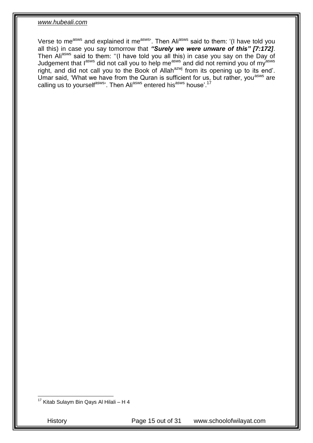Verse to me<sup>asws</sup> and explained it me<sup>asws</sup>'. Then Ali<sup>asws</sup> said to them: '(I have told you all this) in case you say tomorrow that *"Surely we were unware of this" [7:172]*. Then Aliasws said to them: "(I have told you all this) in case you say on the Day of Judgement that l<sup>asws</sup> did not call you to help me<sup>asws</sup> and did not remind you of my<sup>asws</sup> right, and did not call you to the Book of Allah<sup>azwj</sup> from its opening up to its end'. Umar said, 'What we have from the Quran is sufficient for us, but rather, you<sup>asws</sup> are calling us to yourself<sup>asws</sup>'. Then Ali<sup>asws</sup> entered his<sup>asws</sup> house'.<sup>17</sup>

<sup>17</sup> Kitab Sulaym Bin Qays Al Hilali – H 4

1

History Page 15 out of 31 www.schoolofwilayat.com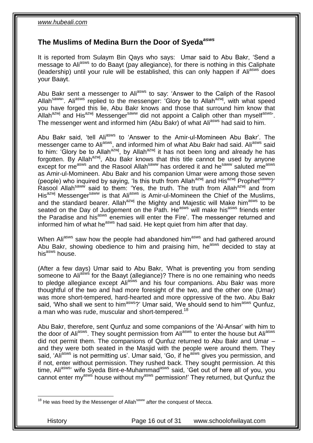#### <span id="page-15-0"></span>**The Muslims of Medina Burn the Door of Syeda***asws*

It is reported from Sulaym Bin Qays who says: Umar said to Abu Bakr, 'Send a message to Ali<sup>asws</sup> to do Baayt (pay allegiance), for there is nothing in this Caliphate (leadership) until your rule will be established, this can only happen if Ali<sup>asws</sup> does your Baayt.

Abu Bakr sent a messenger to Aliasws to say: 'Answer to the Caliph of the Rasool Allah<sup>saww</sup>'. Ali<sup>asws</sup> replied to the messenger: 'Glory be to Allah<sup>azwj</sup>, with what speed you have forged this lie, Abu Bakr knows and those that surround him know that Allah<sup>azwj</sup> and His<sup>azwj</sup> Messenger<sup>saww</sup> did not appoint a Caliph other than myself<sup>asws</sup>'. The messenger went and informed him (Abu Bakr) of what Ali<sup>asws</sup> had said to him.

Abu Bakr said, 'tell Ali<sup>asws</sup> to 'Answer to the Amir-ul-Momineen Abu Bakr'. The messenger came to Aliasws, and informed him of what Abu Bakr had said. Aliasws said to him: 'Glory be to Allah<sup>azwj</sup>, by Allah<sup>azwj</sup> it has not been long and already he has forgotten. By Allah<sup>azwj</sup>, Abu Bakr knows that this title cannot be used by anyone except for me<sup>asws</sup> and the Rasool Allah<sup>saww</sup> has ordered it and he<sup>saww</sup> saluted me<sup>asws</sup> as Amir-ul-Momineen. Abu Bakr and his companion Umar were among those seven (people) who inquired by saying, 'Is this truth from Allah<sup>azwj</sup> and His<sup>azwj</sup> Prophet<sup>saww</sup>?' Rasool Allah<sup>saww</sup> said to them: 'Yes, the truth. The truth from Allah<sup>azwj</sup> and from His<sup>azwj</sup> Messenger<sup>saww</sup> is that Ali<sup>asws</sup> is Amir-ul-Momineen the Chief of the Muslims, and the standard bearer. Allah<sup>azwj</sup> the Mighty and Majestic will Make him<sup>asws</sup> to be seated on the Day of Judgement on the Path. He<sup>asws</sup> will make his<sup>asws</sup> friends enter the Paradise and his<sup>asws</sup> enemies will enter the Fire'. The messenger returned and informed him of what he<sup>asws</sup> had said. He kept quiet from him after that day.

When Ali<sup>asws</sup> saw how the people had abandoned him<sup>asws</sup> and had gathered around Abu Bakr, showing obedience to him and praising him, he<sup>asws</sup> decided to stay at his<sup>asws</sup> house.

(After a few days) Umar said to Abu Bakr, 'What is preventing you from sending someone to Ali<sup>asws</sup> for the Baayt (allegiance)? There is no one remaining who needs to pledge allegiance except Aliasws and his four companions. Abu Bakr was more thoughtful of the two and had more foresight of the two, and the other one (Umar) was more short-tempered, hard-hearted and more oppressive of the two. Abu Bakr said, 'Who shall we sent to him<sup>asws</sup>?' Umar said, 'We should send to him<sup>asws</sup> Qunfuz, a man who was rude, muscular and short-tempered.<sup>18</sup>

Abu Bakr, therefore, sent Qunfuz and some companions of the 'Al-Ansar' with him to the door of Ali<sup>asws</sup>. They sought permission from Ali<sup>asws</sup> to enter the house but Ali<sup>asws</sup> did not permit them. The companions of Qunfuz returned to Abu Bakr and Umar – and they were both seated in the Masjid with the people were around them. They said, 'Ali<sup>asws</sup> is not permitting us'. Umar said, 'Go, if he<sup>asws</sup> gives you permission, and if not, enter without permission. They rushed back. They sought permission. At this time, Ali<sup>asws</sup>' wife Syeda Bint-e-Muhammad<sup>asws</sup> said, 'Get out of here all of you, you cannot enter my<sup>asws</sup> house without my<sup>asws</sup> permission!' They returned, but Qunfuz the

<sup>1</sup> <sup>18</sup> He was freed by the Messenger of Allah<sup>saww</sup> after the conquest of Mecca.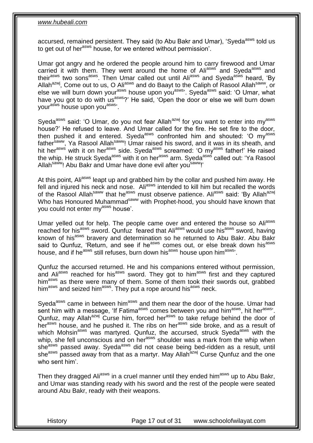accursed, remained persistent. They said (to Abu Bakr and Umar), 'Syeda<sup>asws</sup> told us to get out of her<sup>asws</sup> house, for we entered without permission'.

Umar got angry and he ordered the people around him to carry firewood and Umar carried it with them. They went around the home of Aliasws and Syeda<sup>asws</sup> and their<sup>asws</sup> two sons<sup>asws</sup>. Then Umar called out until Ali<sup>asws</sup> and Syeda<sup>asws</sup> heard, 'By Allah<sup>azwj</sup>, Come out to us, O Ali<sup>asws</sup> and do Baayt to the Caliph of Rasool Allah<sup>saww</sup>, or else we will burn down your<sup>asws</sup> house upon you<sup>asws</sup>. Syeda<sup>asws</sup> said: 'O Umar, what have you got to do with us<sup>asws</sup>?' He said, 'Open the door or else we will burn down your<sup>asws</sup> house upon you<sup>asws</sup>'.

Syeda<sup>asws</sup> said: 'O Umar, do you not fear Allah<sup>azwj</sup> for you want to enter into my<sup>asws</sup> house?' He refused to leave. And Umar called for the fire. He set fire to the door, then pushed it and entered. Syeda<sup>asws</sup> confronted him and shouted: 'O my<sup>asws</sup> father<sup>saww</sup>, Ya Rasool Allah<sup>saww</sup>! Umar raised his sword, and it was in its sheath, and hit her<sup>asws</sup> with it on her<sup>asws</sup> side. Syeda<sup>asws</sup> screamed: 'O my<sup>asws</sup> father!' He raised the whip. He struck Syeda<sup>asws</sup> with it on her<sup>asws</sup> arm. Syeda<sup>asws</sup> called out: 'Ya Rasool Allah<sup>saww</sup>! Abu Bakr and Umar have done evil after you<sup>saww</sup>!'

At this point, Ali<sup>asws</sup> leapt up and grabbed him by the collar and pushed him away. He fell and injured his neck and nose. Ali<sup>asws</sup> intended to kill him but recalled the words of the Rasool Allah<sup>saww</sup> that he<sup>asws</sup> must observe patience. Ali<sup>asws</sup> said: 'By Allah<sup>azwj</sup> Who has Honoured Muhammad<sup>saww</sup> with Prophet-hood, you should have known that you could not enter my<sup>asws</sup> house'.

Umar yelled out for help. The people came over and entered the house so Ali<sup>asws</sup> reached for his<sup>asws</sup> sword. Qunfuz feared that Ali<sup>asws</sup> would use his<sup>asws</sup> sword, having known of his<sup>asws</sup> bravery and determination so he returned to Abu Bakr. Abu Bakr said to Qunfuz, 'Return, and see if he<sup>asws</sup> comes out, or else break down his<sup>asws</sup> house, and if he<sup>asws</sup> still refuses, burn down his<sup>asws</sup> house upon him<sup>asws</sup>.

Qunfuz the accursed returned. He and his companions entered without permission, and Aliasws reached for his<sup>asws</sup> sword. They got to him<sup>asws</sup> first and they captured him<sup>asws</sup> as there were many of them. Some of them took their swords out, grabbed him<sup>asws</sup> and seized him<sup>asws</sup>. They put a rope around his<sup>asws</sup> neck.

Syeda<sup>asws</sup> came in between him<sup>asws</sup> and them near the door of the house. Umar had sent him with a message, 'If Fatima<sup>asws</sup> comes between you and him<sup>asws</sup>, hit her<sup>asws</sup>. Qunfuz, may Allah<sup>azwj</sup> Curse him, forced her<sup>asws</sup> to take refuge behind the door of her<sup>asws</sup> house, and he pushed it. The ribs on her<sup>asws</sup> side broke, and as a result of which Mohsin<sup>asws</sup> was martyred. Qunfuz, the accursed, struck Syeda<sup>asws</sup> with the whip, she fell unconscious and on her<sup>asws</sup> shoulder was a mark from the whip when she<sup>asws</sup> passed away. Syeda<sup>asws</sup> did not cease being bed-ridden as a result, until she<sup>asws</sup> passed away from that as a martyr. May Allah<sup>azwj</sup> Curse Qunfuz and the one who sent him'.

Then they dragged Ali<sup>asws</sup> in a cruel manner until they ended him<sup>asws</sup> up to Abu Bakr, and Umar was standing ready with his sword and the rest of the people were seated around Abu Bakr, ready with their weapons.

History Page 17 out of 31 www.schoolofwilayat.com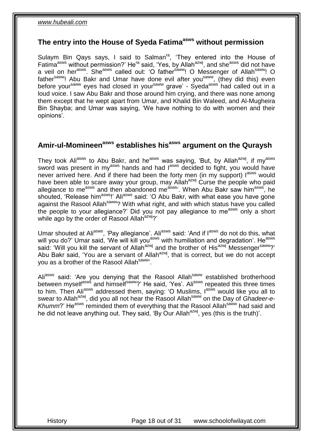#### <span id="page-17-0"></span>**The entry into the House of Syeda Fatimaasws without permission**

Sulaym Bin Qays says, I said to Salman<sup>ra</sup>, 'They entered into the House of Fatima<sup>asws</sup> without permission?' He<sup>ra</sup> said, 'Yes, by Allah<sup>azwj</sup>, and she<sup>asws</sup> did not have a veil on herasws. Sheasws called out: 'O fathersaww! O Messenger of Allahsaww! O father<sup>saww</sup>! Abu Bakr and Umar have done evil after you<sup>saww</sup>, (they did this) even before your<sup>saww</sup> eyes had closed in your<sup>saww</sup> grave' - Syeda<sup>asws</sup> had called out in a loud voice. I saw Abu Bakr and those around him crying, and there was none among them except that he wept apart from Umar, and Khalid Bin Waleed, and Al-Mugheira Bin Shayba; and Umar was saying, 'We have nothing to do with women and their opinions'.

## <span id="page-17-1"></span>**Amir-ul-Momineenasws establishes hisasws argument on the Quraysh**

They took Aliasws to Abu Bakr, and he<sup>asws</sup> was saying, 'But, by Allah<sup>azwj</sup>, if my<sup>asws</sup> sword was present in my<sup>asws</sup> hands and had lasws decided to fight, you would have never arrived here. And if there had been the forty men (in my support) lasws would have been able to scare away your group, may Allah<sup>azwj</sup> Curse the people who paid allegiance to me<sup>asws</sup> and then abandoned me<sup>asws</sup>. When Abu Bakr saw him<sup>asws</sup>, he shouted, 'Release him<sup>asws</sup>!' Ali<sup>asws</sup> said: 'O Abu Bakr, with what ease you have gone against the Rasool Allah<sup>saww</sup>? With what right, and with which status have you called the people to your allegiance?' Did you not pay allegiance to me<sup>asws</sup> only a short while ago by the order of Rasool Allah<sup>azwj</sup>?'

Umar shouted at Ali<sup>asws</sup>, 'Pay allegiance'. Ali<sup>asws</sup> said: 'And if l<sup>asws</sup> do not do this, what will you do?' Umar said, 'We will kill you<sup>asws</sup> with humiliation and degradation'. He<sup>asws</sup> said: 'Will you kill the servant of Allah<sup>azwj</sup> and the brother of His<sup>azwj</sup> Messengersaww?' Abu Bakr said, 'You are a servant of Allah<sup>azwj</sup>, that is correct, but we do not accept you as a brother of the Rasool Allah<sup>saww</sup>'.

Aliasws said: 'Are you denying that the Rasool Allah<sup>saww</sup> established brotherhood between myself<sup>asws</sup> and himself<sup>saww</sup>?' He said, 'Yes'. Ali<sup>asws</sup> repeated this three times to him. Then Ali<sup>asws</sup> addressed them, saying: 'O Muslims, l<sup>asws</sup> would like you all to swear to Allah<sup>azwj</sup>, did you all not hear the Rasool Allah<sup>saww</sup> on the Day of *Ghadeer-e-*Khumm?' He<sup>asws</sup> reminded them of everything that the Rasool Allah<sup>saww</sup> had said and he did not leave anything out. They said, 'By Our Allah<sup>azwj</sup>, yes (this is the truth)'.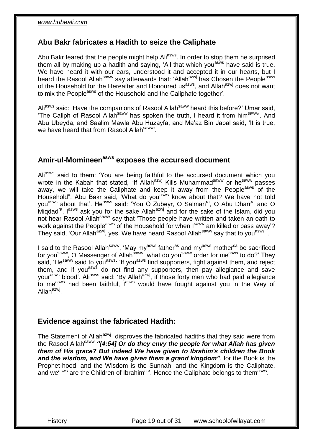#### <span id="page-18-0"></span>**Abu Bakr fabricates a Hadith to seize the Caliphate**

Abu Bakr feared that the people might help Ali<sup>asws</sup>. In order to stop them he surprised them all by making up a hadith and saying, 'All that which you<sup>asws</sup> have said is true. We have heard it with our ears, understood it and accepted it in our hearts, but I heard the Rasool Allah<sup>saww</sup> say afterwards that: 'Allah<sup>azwj</sup> has Chosen the People<sup>asws</sup> of the Household for the Hereafter and Honoured us<sup>asws</sup>, and Allah<sup>azwj</sup> does not want to mix the People<sup>asws</sup> of the Household and the Caliphate together'.

Ali<sup>asws</sup> said: 'Have the companions of Rasool Allah<sup>saww</sup> heard this before?' Umar said, 'The Caliph of Rasool Allah<sup>saww</sup> has spoken the truth, I heard it from him<sup>saww</sup>'. And Abu Ubeyda, and Saalim Mawla Abu Huzayfa, and Ma'az Bin Jabal said, 'It is true, we have heard that from Rasool Allahsaww.

# <span id="page-18-1"></span>**Amir-ul-Momineenasws exposes the accursed document**

Ali<sup>asws</sup> said to them: 'You are being faithful to the accursed document which you wrote in the Kabah that stated, "If Allah<sup>azwj</sup> Kills Muhammad<sup>saww</sup> or he<sup>saww</sup> passes away, we will take the Caliphate and keep it away from the People<sup>asws</sup> of the Household". Abu Bakr said, 'What do you<sup>asws</sup> know about that? We have not told you<sup>asws</sup> about that'. He<sup>asws</sup> said: 'You O Zubeyr, O Salman<sup>ra</sup>, O Abu Dharr<sup>ra</sup> and O Miqdad<sup>ra</sup>,  $I^{asws}$  ask you for the sake Allah<sup>azwj</sup> and for the sake of the Islam, did you not hear Rasool Allah<sup>saww</sup> say that 'Those people have written and taken an oath to work against the People<sup>asws</sup> of the Household for when I<sup>saww</sup> am killed or pass away'? They said, 'Our Allah<sup>azwj</sup>, yes. We have heard Rasool Allah<sup>saww</sup> say that to you<sup>asws 5</sup>.

I said to the Rasool Allah<sup>saww</sup>, 'May my<sup>asws</sup> father<sup>as</sup> and my<sup>asws</sup> mother<sup>sa</sup> be sacrificed for you<sup>saww</sup>, O Messenger of Allah<sup>saww</sup>, what do you<sup>saww</sup> order for me<sup>asws</sup> to do?' They said, 'He<sup>saww</sup> said to you<sup>asws</sup>: 'If you<sup>asws</sup> find supporters, fight against them, and reject them, and if you<sup>asws</sup> do not find any supporters, then pay allegiance and save yourasws blood'. Aliasws said: 'By Allahazwj, if those forty men who had paid allegiance to me<sup>asws</sup> had been faithful, l<sup>asws</sup> would have fought against you in the Way of Allah<sup>azwj</sup>.

#### <span id="page-18-2"></span>**Evidence against the fabricated Hadith:**

The Statement of Allah<sup>azwj</sup> disproves the fabricated hadiths that they said were from the Rasool Allah<sup>saww</sup> "[4:54] Or do they envy the people for what Allah has given *them of His grace? But indeed We have given to Ibrahim's children the Book and the wisdom, and We have given them a grand kingdom"*, for the Book is the Prophet-hood, and the Wisdom is the Sunnah, and the Kingdom is the Caliphate, and we<sup>asws</sup> are the Children of Ibrahim<sup>as</sup>'. Hence the Caliphate belongs to them<sup>asws</sup>.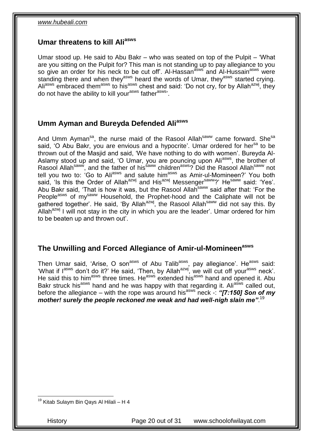#### <span id="page-19-0"></span>**Umar threatens to kill Aliasws**

Umar stood up. He said to Abu Bakr – who was seated on top of the Pulpit – 'What are you sitting on the Pulpit for? This man is not standing up to pay allegiance to you so give an order for his neck to be cut off'. Al-Hassan<sup>asws'</sup> and Al-Hussain<sup>asws</sup> were standing there and when they<sup>asws</sup> heard the words of Umar, they<sup>asws</sup> started crying. Ali<sup>asws</sup> embraced them<sup>asws</sup> to his<sup>asws</sup> chest and said: 'Do not cry, for by Allah<sup>azwj</sup>, they do not have the ability to kill your<sup>asws</sup> father<sup>asws</sup>.

## <span id="page-19-1"></span>**Umm Ayman and Bureyda Defended Aliasws**

And Umm Ayman<sup>sa</sup>, the nurse maid of the Rasool Allah<sup>saww</sup> came forward. She<sup>sa</sup> said, 'O Abu Bakr, you are envious and a hypocrite'. Umar ordered for her<sup>sa</sup> to be thrown out of the Masjid and said, 'We have nothing to do with women'. Bureyda Al-Aslamy stood up and said, 'O Umar, you are pouncing upon Aliasws, the brother of Rasool Allah<sup>saww</sup>, and the father of his<sup>saww</sup> children<sup>asws</sup>? Did the Rasool Allah<sup>saww</sup> not tell you two to: 'Go to Ali<sup>asws</sup> and salute him<sup>asws</sup> as Amir-ul-Momineen?' You both said, 'Is this the Order of Allah<sup>azwj</sup> and His<sup>azwj</sup> Messenger<sup>saww</sup>?' He<sup>saww</sup> said: 'Yes'. Abu Bakr said, 'That is how it was, but the Rasool Allah<sup>saww</sup> said after that: 'For the People<sup>asws</sup> of my<sup>saww</sup> Household, the Prophet-hood and the Caliphate will not be gathered together'. He said, 'By Allah<sup>azwj</sup>, the Rasool Allah<sup>saww</sup> did not say this. By Allah<sup>azwj</sup> I will not stay in the city in which you are the leader'. Umar ordered for him to be beaten up and thrown out'.

#### <span id="page-19-2"></span>**The Unwilling and Forced Allegiance of Amir-ul-Momineenasws**

Then Umar said, 'Arise, O son<sup>asws</sup> of Abu Talib<sup>asws</sup>, pay allegiance'. He<sup>asws</sup> said: 'What if l<sup>asws</sup> don't do it?' He said, 'Then, by Allah<sup>azwj</sup>, we will cut off your<sup>asws</sup> neck'. He said this to him<sup>asws</sup> three times. He<sup>asws</sup> extended his<sup>asws</sup> hand and opened it. Abu Bakr struck his<sup>asws</sup> hand and he was happy with that regarding it. Ali<sup>asws</sup> called out, before the allegiance – with the rope was around his<sup>asws</sup> neck -: "[7:150] Son of my *mother! surely the people reckoned me weak and had well-nigh slain me"*. 19

History Page 20 out of 31 www.schoolofwilayat.com

<sup>1</sup> <sup>19</sup> Kitab Sulaym Bin Qays Al Hilali – H 4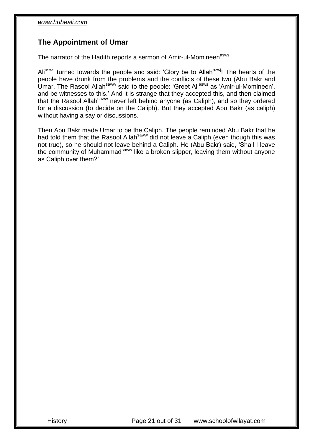## <span id="page-20-0"></span>**The Appointment of Umar**

The narrator of the Hadith reports a sermon of Amir-ul-Momineen<sup>asws</sup>

Ali<sup>asws</sup> turned towards the people and said: 'Glory be to Allah<sup>azw</sup>! The hearts of the people have drunk from the problems and the conflicts of these two (Abu Bakr and Umar. The Rasool Allahsaww said to the people: 'Greet Aliasws as 'Amir-ul-Momineen', and be witnesses to this.' And it is strange that they accepted this, and then claimed that the Rasool Allah<sup>saww</sup> never left behind anyone (as Caliph), and so they ordered for a discussion (to decide on the Caliph). But they accepted Abu Bakr (as caliph) without having a say or discussions.

Then Abu Bakr made Umar to be the Caliph. The people reminded Abu Bakr that he had told them that the Rasool Allah<sup>saww</sup> did not leave a Caliph (even though this was not true), so he should not leave behind a Caliph. He (Abu Bakr) said, 'Shall I leave the community of Muhammad<sup>saww</sup> like a broken slipper, leaving them without anyone as Caliph over them?'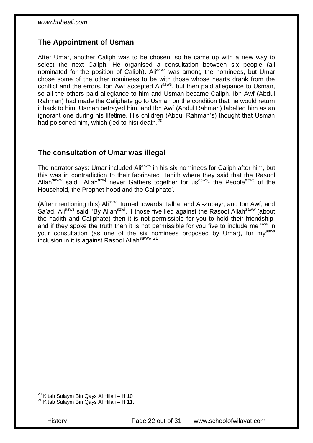## <span id="page-21-0"></span>**The Appointment of Usman**

After Umar, another Caliph was to be chosen, so he came up with a new way to select the next Caliph. He organised a consultation between six people (all nominated for the position of Caliph). Ali<sup>asws</sup> was among the nominees, but Umar chose some of the other nominees to be with those whose hearts drank from the conflict and the errors. Ibn Awf accepted Ali<sup>asws</sup>, but then paid allegiance to Usman, so all the others paid allegiance to him and Usman became Caliph. Ibn Awf (Abdul Rahman) had made the Caliphate go to Usman on the condition that he would return it back to him. Usman betrayed him, and Ibn Awf (Abdul Rahman) labelled him as an ignorant one during his lifetime. His children (Abdul Rahman's) thought that Usman had poisoned him, which (led to his) death.<sup>20</sup>

## <span id="page-21-1"></span>**The consultation of Umar was illegal**

The narrator says: Umar included Ali<sup>asws</sup> in his six nominees for Caliph after him, but this was in contradiction to their fabricated Hadith where they said that the Rasool Allah<sup>saww</sup> said: 'Allah<sup>azwj</sup> never Gathers together for us<sup>asws</sup>- the People<sup>asws</sup> of the Household, the Prophet-hood and the Caliphate'.

(After mentioning this) Ali<sup>asws</sup> turned towards Talha, and Al-Zubayr, and Ibn Awf, and Sa'ad. Ali<sup>asws</sup> said: 'By Allah<sup>azwj</sup>, if those five lied against the Rasool Allah<sup>saww</sup> (about the hadith and Caliphate) then it is not permissible for you to hold their friendship, and if they spoke the truth then it is not permissible for you five to include me<sup>asws</sup> in your consultation (as one of the six nominees proposed by Umar), for mvasws inclusion in it is against Rasool Allah<sup>saww</sup>.<sup>21</sup>

<sup>1</sup> <sup>20</sup> Kitab Sulaym Bin Qays Al Hilali – H 10

<sup>21</sup> Kitab Sulaym Bin Qays Al Hilali – H 11.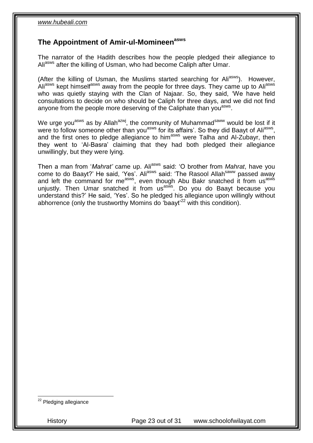#### <span id="page-22-0"></span>**The Appointment of Amir-ul-Momineenasws**

The narrator of the Hadith describes how the people pledged their allegiance to Ali<sup>asws</sup> after the killing of Usman, who had become Caliph after Umar.

(After the killing of Usman, the Muslims started searching for Ali<sup>asws</sup>). However, Aliasws kept himself<sup>asws</sup> away from the people for three days. They came up to Aliasws who was quietly staying with the Clan of Najaar. So, they said, 'We have held consultations to decide on who should be Caliph for three days, and we did not find anyone from the people more deserving of the Caliphate than you<sup>asws</sup>.

We urge you<sup>asws</sup> as by Allah<sup>azwj</sup>, the community of Muhammad<sup>saww</sup> would be lost if it were to follow someone other than you<sup>asws</sup> for its affairs'. So they did Baayt of Ali<sup>asws</sup>, and the first ones to pledge allegiance to him<sup>asws</sup> were Talha and Al-Zubayr, then they went to 'Al-Basra' claiming that they had both pledged their allegiance unwillingly, but they were lying.

Then a man from '*Mahrat'* came up. Ali<sup>asws</sup> said: 'O brother from *Mahrat*, have you come to do Baayt?' He said, 'Yes'. Ali<sup>asws</sup> said: 'The Rasool Allah<sup>saww</sup> passed away and left the command for me<sup>asws</sup>, even though Abu Bakr snatched it from us<sup>asws</sup> unjustly. Then Umar snatched it from us<sup>asws</sup>. Do you do Baayt because you understand this?' He said, 'Yes'. So he pledged his allegiance upon willingly without abhorrence (only the trustworthy Momins do 'baayt'<sup>22</sup> with this condition).

<sup>22</sup> Pledging allegiance

1

History Page 23 out of 31 www.schoolofwilayat.com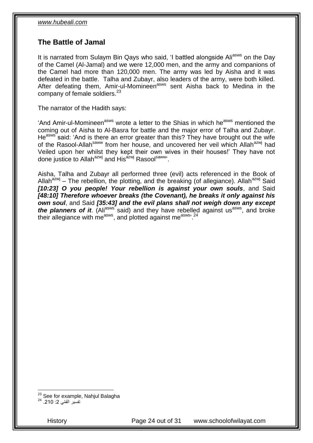#### <span id="page-23-0"></span>**The Battle of Jamal**

It is narrated from Sulaym Bin Qays who said, 'I battled alongside Ali<sup>asws</sup> on the Day of the Camel (Al-Jamal) and we were 12,000 men, and the army and companions of the Camel had more than 120,000 men. The army was led by Aisha and it was defeated in the battle. Talha and Zubayr, also leaders of the army, were both killed. After defeating them, Amir-ul-Momineen<sup>asws</sup> sent Aisha back to Medina in the company of female soldiers. $23$ 

The narrator of the Hadith says:

'And Amir-ul-Momineen<sup>asws</sup> wrote a letter to the Shias in which he<sup>asws</sup> mentioned the coming out of Aisha to Al-Basra for battle and the major error of Talha and Zubayr. He<sup>asws</sup> said: 'And is there an error greater than this? They have brought out the wife of the Rasool-Allah<sup>saww</sup> from her house, and uncovered her veil which Allah<sup>azwj</sup> had Veiled upon her whilst they kept their own wives in their houses!' They have not done justice to Allah<sup>azwj</sup> and His<sup>azwj</sup> Rasool<sup>saww</sup>.

Aisha, Talha and Zubayr all performed three (evil) acts referenced in the Book of Allah<sup>azwj</sup> – The rebellion, the plotting, and the breaking (of allegiance). Allah<sup>azwj</sup> Said *[10:23] O you people! Your rebellion is against your own souls*, and Said *[48:10] Therefore whoever breaks (the Covenant), he breaks it only against his own soul*, and Said *[35:43] and the evil plans shall not weigh down any except the planners of it.* (Ali<sup>asws</sup> said) and they have rebelled against us<sup>asws</sup>, and broke their allegiance with me<sup>asws</sup>, and plotted against me<sup>asws, 24</sup>

1

History Page 24 out of 31 www.schoolofwilayat.com

<sup>&</sup>lt;sup>23</sup> See for example, Nahjul Balagha

تفسير القمّ*ي* 2: 210. <sup>24</sup>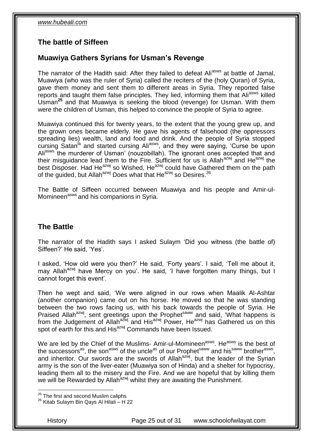## <span id="page-24-0"></span>**The battle of Siffeen**

#### <span id="page-24-1"></span>**Muawiya Gathers Syrians for Usman's Revenge**

The narrator of the Hadith said: After they failed to defeat Ali<sup>asws</sup> at battle of Jamal, Muawiya (who was the ruler of Syria) called the reciters of the (holy Quran) of Syria, gave them money and sent them to different areas in Syria. They reported false reports and taught them false principles. They lied, informing them that Ali<sup>asws</sup> killed Usman**<sup>25</sup>** and that Muawiya is seeking the blood (revenge) for Usman. With them were the children of Usman, this helped to convince the people of Syria to agree.

Muawiya continued this for twenty years, to the extent that the young grew up, and the grown ones became elderly. He gave his agents of falsehood (the oppressors spreading lies) wealth, land and food and drink. And the people of Syria stopped cursing Satan<sup>la</sup> and started cursing Ali<sup>asws</sup>, and they were saying, 'Curse be upon Ali<sup>asws</sup> the murderer of Usman' (nouzobillah). The ignorant ones accepted that and their misquidance lead them to the Fire. Sufficient for us is Allah<sup>azwj</sup> and He<sup>azwj</sup> the best Disposer. Had He<sup>azwj</sup> so Wished, He<sup>azwj</sup> could have Gathered them on the path of the quided, but Allah<sup>azwj</sup> Does what that He<sup>azwj</sup> so Desires.<sup>26</sup>

The Battle of Siffeen occurred between Muawiya and his people and Amir-ul-Momineen<sup>asws</sup> and his companions in Syria.

#### <span id="page-24-2"></span>**The Battle**

The narrator of the Hadith says I asked Sulaym 'Did you witness (the battle of) Siffeen?' He said, 'Yes'.

I asked, 'How old were you then?' He said, 'Forty years'. I said, 'Tell me about it, may Allah<sup>azwj</sup> have Mercy on you'. He said, 'I have forgotten many things, but I cannot forget this event'.

Then he wept and said, 'We were aligned in our rows when Maalik Al-Ashtar (another companion) came out on his horse. He moved so that he was standing between the two rows facing us, with his back towards the people of Syria. He Praised Allah<sup>azwj</sup>, sent greetings upon the Prophet<sup>saww</sup> and said, 'What happens is from the Judgement of Allah<sup>azwj</sup> and His<sup>azwj</sup> Power, He<sup>azwj</sup> has Gathered us on this spot of earth for this and His<sup>azwj</sup> Commands have been Issued.

We are led by the Chief of the Muslims- Amir-ul-Momineen<sup>asws</sup>. He<sup>asws</sup> is the best of the successors<sup>as</sup>, the son<sup>asws</sup> of the uncle<sup>as</sup> of our Prophet<sup>saww</sup> and his<sup>saww</sup> brother<sup>asws</sup>, and inheritor. Our swords are the swords of Allah<sup>azwj</sup>, but the leader of the Syrian army is the son of the liver-eater (Muawiya son of Hinda) and a shelter for hypocrisy, leading them all to the misery and the Fire. And we are hopeful that by killing them we will be Rewarded by Allah<sup>azwj</sup> whilst they are awaiting the Punishment.

1

History Page 25 out of 31 www.schoolofwilayat.com

<sup>&</sup>lt;sup>25</sup> The first and second Muslim caliphs

 $26$  Kitab Sulaym Bin Qays Al Hilali – H 22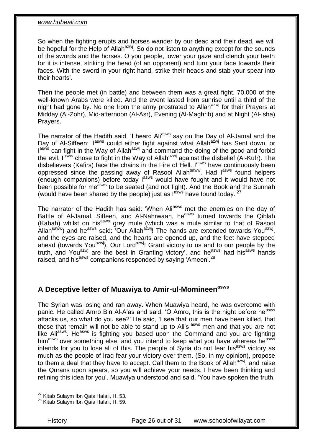So when the fighting erupts and horses wander by our dead and their dead, we will be hopeful for the Help of Allah<sup>azwj</sup>. So do not listen to anything except for the sounds of the swords and the horses. O you people, lower your gaze and clench your teeth for it is intense, striking the head (of an opponent) and turn your face towards their faces. With the sword in your right hand, strike their heads and stab your spear into their hearts'.

Then the people met (in battle) and between them was a great fight. 70,000 of the well-known Arabs were killed. And the event lasted from sunrise until a third of the night had gone by. No one from the army prostrated to Allah<sup>azwj</sup> for their Prayers at Midday (Al-Zohr), Mid-afternoon (Al-Asr), Evening (Al-Maghrib) and at Night (Al-Isha) Prayers.

The narrator of the Hadith said, 'I heard Ali<sup>asws</sup> say on the Day of Al-Jamal and the Day of Al-Siffeen: 'l<sup>asws</sup> could either fight against what Allah<sup>azwj</sup> has Sent down, or Iasws can fight in the Way of Allah<sup>azwj</sup> and command the doing of the good and forbid the evil.  $I^{asws}$  chose to fight in the Way of Allah<sup>azwj</sup> against the disbelief (Al-Kufr). The disbelievers (Kafirs) face the chains in the Fire of Hell. I<sup>asws</sup> have continuously been oppressed since the passing away of Rasool Allah<sup>saww</sup>. Had lasws found helpers (enough companions) before today lasws would have fought and it would have not been possible for me<sup>asws</sup> to be seated (and not fight). And the Book and the Sunnah (would have been shared by the people) just as  $I^{a\bar{s}ws'}$  have found today.<sup>'27</sup>

The narrator of the Hadith has said: 'When Ali<sup>asws</sup> met the enemies on the day of Battle of Al-Jamal, Siffeen, and Al-Nahrwaan, he<sup>asws</sup> turned towards the Qiblah (Kabah) whilst on his<sup>asws</sup> grey mule (which was a mule similar to that of Rasool Allah<sup>saww</sup>) and he<sup>asws</sup> said: 'Our Allah<sup>a'zwj</sup>! The hands are extended towards You<sup>azwj</sup>, and the eyes are raised, and the hearts are opened up, and the feet have stepped ahead (towards You<sup>azwj</sup>). Our Lord<sup>azwj</sup>! Grant victory to us and to our people by the truth, and You<sup>azwj</sup> are the best in Granting victory', and he<sup>asws</sup> had his<sup>asws</sup> hands raised, and his<sup>asws</sup> companions responded by saying 'Ameen'.<sup>28</sup>

## <span id="page-25-0"></span>**A Deceptive letter of Muawiya to Amir-ul-Momineenasws**

The Syrian was losing and ran away. When Muawiya heard, he was overcome with panic. He called Amro Bin Al-A'as and said, 'O Amro, this is the night before he<sup>asws</sup> attacks us, so what do you see?' He said, 'I see that our men have been killed, that those that remain will not be able to stand up to Ali's asws men and that you are not like Ali<sup>asws</sup>. He<sup>asws</sup> is fighting you based upon the Command and you are fighting him<sup>asws</sup> over something else, and you intend to keep what you have whereas he<sup>asws</sup> intends for you to lose all of this. The people of Syria do not fear his<sup>asws</sup> victory as much as the people of Iraq fear your victory over them. (So, in my opinion), propose to them a deal that they have to accept. Call them to the Book of Allah<sup>azwj</sup>, and raise the Qurans upon spears, so you will achieve your needs. I have been thinking and refining this idea for you'. Muawiya understood and said, 'You have spoken the truth,

1

<sup>&</sup>lt;sup>27</sup> Kitab Sulaym Ibn Qais Halali, H. 53.

<sup>28</sup> Kitab Sulaym Ibn Qais Halali, H. 59.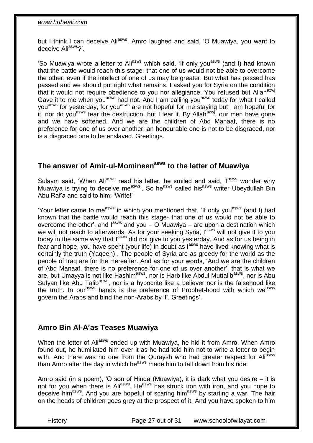but I think I can deceive Ali<sup>asws</sup>. Amro laughed and said, 'O Muawiya, you want to deceive Aliasws?'.

'So Muawiya wrote a letter to Ali<sup>asws</sup> which said, 'If only you<sup>asws</sup> (and I) had known that the battle would reach this stage- that one of us would not be able to overcome the other, even if the intellect of one of us may be greater. But what has passed has passed and we should put right what remains. I asked you for Syria on the condition that it would not require obedience to you nor allegiance. You refused but Allah<sup>azwj</sup> Gave it to me when you<sup>asws</sup> had not. And I am calling you<sup>asws</sup> today for what I called you<sup>asws</sup> for yesterday, for you<sup>asws</sup> are not hopeful for me staying but I am hopeful for it, nor do you<sup>asws</sup> fear the destruction, but I fear it. By Allah<sup>azwj</sup>, our men have gone and we have softened. And we are the children of Abd Manaaf, there is no preference for one of us over another; an honourable one is not to be disgraced, nor is a disgraced one to be enslaved. Greetings.

# <span id="page-26-0"></span>**The answer of Amir-ul-Momineenasws to the letter of Muawiya**

Sulaym said, 'When Ali<sup>asws</sup> read his letter, he smiled and said, 'I<sup>asws</sup> wonder why Muawiya is trying to deceive me<sup>asws</sup>'. So he<sup>asws</sup> called his<sup>asws</sup> writer Ubeydullah Bin Abu Raf'a and said to him: 'Write!'

'Your letter came to me<sup>asws</sup> in which you mentioned that, 'If only you<sup>asws</sup> (and I) had known that the battle would reach this stage- that one of us would not be able to overcome the other', and  $I^{asws}$  and you – O Muawiya – are upon a destination which we will not reach to afterwards. As for your seeking Syria, lasws will not give it to you today in the same way that l<sup>asws</sup> did not give to you yesterday. And as for us being in fear and hope, you have spent (your life) in doubt as  $I^{asws}$  have lived knowing what is certainly the truth (Yaqeen) . The people of Syria are as greedy for the world as the people of Iraq are for the Hereafter. And as for your words, 'And we are the children of Abd Manaaf, there is no preference for one of us over another', that is what we are, but Umayya is not like Hashim<sup>asws</sup>, nor is Harb like Abdul Muttalib<sup>asws</sup>, nor is Abu Sufyan like Abu Talib<sup>asws</sup>, nor is a hypocrite like a believer nor is the falsehood like the truth. In our<sup>asws</sup> hands is the preference of Prophet-hood with which we<sup>asws</sup> govern the Arabs and bind the non-Arabs by it'. Greetings'.

## <span id="page-26-1"></span>**Amro Bin Al-A'as Teases Muawiya**

When the letter of Ali<sup>asws</sup> ended up with Muawiya, he hid it from Amro. When Amro found out, he humiliated him over it as he had told him not to write a letter to begin with. And there was no one from the Quraysh who had greater respect for Ali<sup>asws</sup> than Amro after the day in which he<sup>asws</sup> made him to fall down from his ride.

Amro said (in a poem), 'O son of Hinda (Muawiya), it is dark what you desire – it is not for you when there is Ali<sup>asws</sup>. He<sup>asws</sup> has struck iron with iron, and you hope to deceive him<sup>asws</sup>. And you are hopeful of scaring him<sup>asws</sup> by starting a war. The hair on the heads of children goes grey at the prospect of it. And you have spoken to him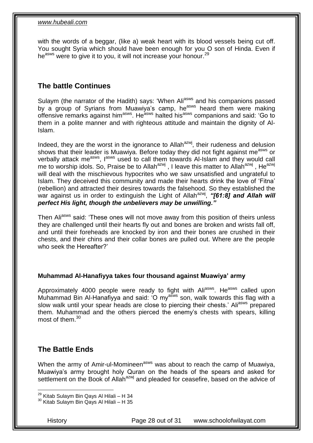with the words of a beggar, (like a) weak heart with its blood vessels being cut off. You sought Syria which should have been enough for you O son of Hinda. Even if he<sup>asws</sup> were to give it to you, it will not increase your honour.<sup>29</sup>

## <span id="page-27-0"></span>**The battle Continues**

Sulaym (the narrator of the Hadith) says: 'When Ali<sup>asws</sup> and his companions passed by a group of Syrians from Muawiya's camp, he<sup>asws</sup> heard them were making offensive remarks against him<sup>asws</sup>. He<sup>asws</sup> halted his<sup>asws</sup> companions and said: 'Go to them in a polite manner and with righteous attitude and maintain the dignity of Al-Islam.

Indeed, they are the worst in the ignorance to Allah<sup>azwj</sup>, their rudeness and delusion shows that their leader is Muawiya. Before today they did not fight against me<sup>asws</sup> or verbally attack me<sup>asws</sup>, l<sup>asws</sup> used to call them towards Al-Islam and they would call me to worship idols. So, Praise be to Allah<sup>azwj</sup>, I leave this matter to Allah<sup>azwj</sup>, He<sup>azwj</sup> will deal with the mischievous hypocrites who we saw unsatisfied and ungrateful to Islam. They deceived this community and made their hearts drink the love of 'Fitna' (rebellion) and attracted their desires towards the falsehood. So they established the war against us in order to extinguish the Light of Allah<sup>azwj</sup>, "[61:8] and Allah will *perfect His light, though the unbelievers may be unwilling."*

Then Ali<sup>asws</sup> said: 'These ones will not move away from this position of theirs unless they are challenged until their hearts fly out and bones are broken and wrists fall off, and until their foreheads are knocked by iron and their bones are crushed in their chests, and their chins and their collar bones are pulled out. Where are the people who seek the Hereafter?'

#### **Muhammad Al-Hanafiyya takes four thousand against Muawiya' army**

Approximately 4000 people were ready to fight with Ali<sup>asws</sup>. He<sup>asws</sup> called upon Muhammad Bin Al-Hanafiyya and said: 'O my<sup>asws</sup> son, walk towards this flag with a slow walk until your spear heads are close to piercing their chests.' Aliasws prepared them. Muhammad and the others pierced the enemy's chests with spears, killing most of them  $30$ 

#### <span id="page-27-1"></span>**The Battle Ends**

When the army of Amir-ul-Momineen<sup>asws</sup> was about to reach the camp of Muawiya, Muawiya's army brought holy Quran on the heads of the spears and asked for settlement on the Book of Allah<sup>azwj</sup> and pleaded for ceasefire, based on the advice of

History Page 28 out of 31 www.schoolofwilayat.com

<sup>1</sup> <sup>29</sup> Kitab Sulaym Bin Qays Al Hilali – H 34

 $30$  Kitab Sulaym Bin Qays Al Hilali – H 35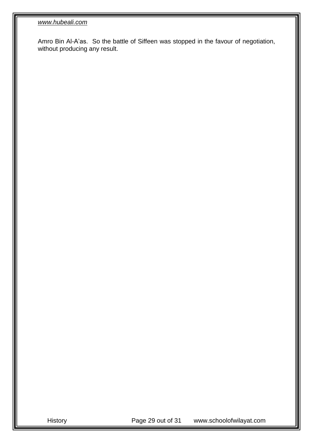Amro Bin Al-A'as. So the battle of Siffeen was stopped in the favour of negotiation, without producing any result.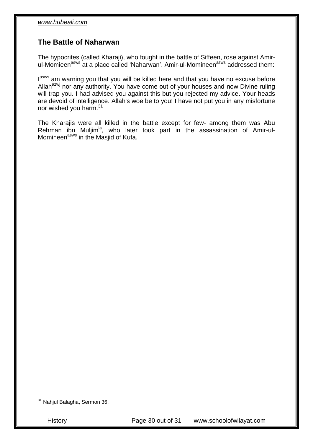#### <span id="page-29-0"></span>**The Battle of Naharwan**

The hypocrites (called Kharaji), who fought in the battle of Siffeen, rose against Amirul-Momieen<sup>asws</sup> at a place called 'Naharwan'. Amir-ul-Momineen<sup>asws</sup> addressed them:

lasws am warning you that you will be killed here and that you have no excuse before Allah<sup>azwj</sup> nor any authority. You have come out of your houses and now Divine ruling will trap you. I had advised you against this but you rejected my advice. Your heads are devoid of intelligence. Allah's woe be to you! I have not put you in any misfortune nor wished you harm.<sup>31</sup>

The Kharajis were all killed in the battle except for few- among them was Abu Rehman ibn Muljim<sup>la</sup>, who later took part in the assassination of Amir-ul-Momineen<sup>asws</sup> in the Masjid of Kufa.

1

History Page 30 out of 31 www.schoolofwilayat.com

<sup>&</sup>lt;sup>31</sup> Nahjul Balagha, Sermon 36.